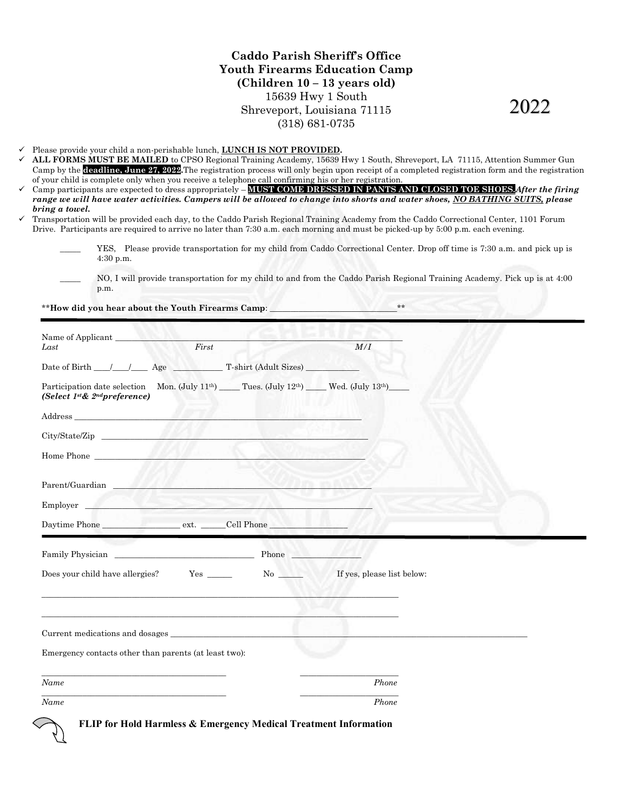Caddo Parish Sheriff's Office Youth Firearms Education Camp Youth Firearms (Children 10 – 13 years old) 15639 Hwy 1 South Shreveport, Louisiana 71115 (318) 681-0735

2022

**V** Please provide your child a non-perishable lunch, **LUNCH IS NOT PROVIDED**.

- $\checkmark$  ALL FORMS MUST BE MAILED to CPSO Regional Training Academy, 15639 Hwy 1 South, Shreveport, LA 711 Camp by the **deadline, June 27, 2022**. The registration process will only begin upon receipt of a completed registration form and the registration of your child is complete only when you receive a telephone call confirming his or her registration. of your child is complete only when you receive a telephone call confirming his or her registration.<br>  $\checkmark$  Camp participants are expected to dress appropriately – **MUST COME DRESSED IN PANTS AND CLOSED TOE SHOES.** After
- range we will have water activities. Campers will be allowed to change into shorts and water shoes, <u>NO BATHING SUITS,</u> please bring a towel.
- $\checkmark$  Transportation will be provided each day, to the Caddo Parish Regional Training Academy from the Caddo Correctional Center, 1101 Forum Drive. Participants are required to arrive no later than 7:30 a.m. each morning and must be picked picked-up by 5:00 p.m. each evening. ortation will be provided each day, to the Caddo Parish Regional Training Academy from the Caddo Correctional Center, 1101 Forum<br>Participants are required to arrive no later than 7:30 a.m. each morning and must be picked-u

| ing a towel. | LL FORMS MUST BE MAILED to CPSO Regional Training Academy, 15639 Hwy 1 South, Shreveport, LA 71115, Attention Summer Gun | your child is complete only when you receive a telephone call confirming his or her registration.                       |    |                            | amp by the <b>deadline, June 27, 2022</b> . The registration process will only begin upon receipt of a completed registration form and the registratio<br>amp participants are expected to dress appropriately – <mark>MUST COME DRESSED IN PANTS AND CLOSED TOE SHOES.</mark> After the firing<br>inge we will have water activities. Campers will be allowed to change into shorts and water shoes, <u>NO BATHING SUITS,</u> please<br>cansportation will be provided each day, to the Caddo Parish Regional Training Academy from the Caddo Correctional Center, 1101 Forum<br>rive. Participants are required to arrive no later than 7:30 a.m. each morning and must be picked-up by 5:00 p.m. each evening. |
|--------------|--------------------------------------------------------------------------------------------------------------------------|-------------------------------------------------------------------------------------------------------------------------|----|----------------------------|-------------------------------------------------------------------------------------------------------------------------------------------------------------------------------------------------------------------------------------------------------------------------------------------------------------------------------------------------------------------------------------------------------------------------------------------------------------------------------------------------------------------------------------------------------------------------------------------------------------------------------------------------------------------------------------------------------------------|
|              | 4:30 p.m.                                                                                                                |                                                                                                                         |    |                            | YES, Please provide transportation for my child from Caddo Correctional Center. Drop off time is 7:30 a.m. and pick up is                                                                                                                                                                                                                                                                                                                                                                                                                                                                                                                                                                                         |
|              | p.m.                                                                                                                     |                                                                                                                         |    |                            | NO, I will provide transportation for my child to and from the Caddo Parish Regional Training Academy. Pick up is at 4:00                                                                                                                                                                                                                                                                                                                                                                                                                                                                                                                                                                                         |
|              |                                                                                                                          | **How did you hear about the Youth Firearms Camp:                                                                       |    |                            | $**$                                                                                                                                                                                                                                                                                                                                                                                                                                                                                                                                                                                                                                                                                                              |
| Last         | Name of Applicant                                                                                                        | First                                                                                                                   |    | M/I                        |                                                                                                                                                                                                                                                                                                                                                                                                                                                                                                                                                                                                                                                                                                                   |
|              |                                                                                                                          |                                                                                                                         |    |                            |                                                                                                                                                                                                                                                                                                                                                                                                                                                                                                                                                                                                                                                                                                                   |
|              | (Select 1 <sup>st</sup> & 2 <sup>nd</sup> preference)                                                                    | Participation date selection Mon. (July 11 <sup>th</sup> ) Tues. (July 12 <sup>th</sup> ) Wed. (July 13 <sup>th</sup> ) |    |                            |                                                                                                                                                                                                                                                                                                                                                                                                                                                                                                                                                                                                                                                                                                                   |
|              |                                                                                                                          |                                                                                                                         |    |                            |                                                                                                                                                                                                                                                                                                                                                                                                                                                                                                                                                                                                                                                                                                                   |
|              |                                                                                                                          |                                                                                                                         |    |                            |                                                                                                                                                                                                                                                                                                                                                                                                                                                                                                                                                                                                                                                                                                                   |
|              | Home Phone                                                                                                               |                                                                                                                         |    |                            |                                                                                                                                                                                                                                                                                                                                                                                                                                                                                                                                                                                                                                                                                                                   |
|              | Parent/Guardian                                                                                                          |                                                                                                                         |    |                            |                                                                                                                                                                                                                                                                                                                                                                                                                                                                                                                                                                                                                                                                                                                   |
| Employer     |                                                                                                                          |                                                                                                                         |    |                            |                                                                                                                                                                                                                                                                                                                                                                                                                                                                                                                                                                                                                                                                                                                   |
|              |                                                                                                                          |                                                                                                                         |    |                            |                                                                                                                                                                                                                                                                                                                                                                                                                                                                                                                                                                                                                                                                                                                   |
|              |                                                                                                                          |                                                                                                                         |    |                            |                                                                                                                                                                                                                                                                                                                                                                                                                                                                                                                                                                                                                                                                                                                   |
|              | Does your child have allergies?                                                                                          | $Yes \_\_$                                                                                                              | No | If yes, please list below: |                                                                                                                                                                                                                                                                                                                                                                                                                                                                                                                                                                                                                                                                                                                   |
|              | Current medications and dosages                                                                                          |                                                                                                                         |    |                            |                                                                                                                                                                                                                                                                                                                                                                                                                                                                                                                                                                                                                                                                                                                   |
|              |                                                                                                                          | Emergency contacts other than parents (at least two):                                                                   |    |                            |                                                                                                                                                                                                                                                                                                                                                                                                                                                                                                                                                                                                                                                                                                                   |
| Name         |                                                                                                                          |                                                                                                                         |    | Phone                      |                                                                                                                                                                                                                                                                                                                                                                                                                                                                                                                                                                                                                                                                                                                   |
| Name         |                                                                                                                          |                                                                                                                         |    | Phone                      |                                                                                                                                                                                                                                                                                                                                                                                                                                                                                                                                                                                                                                                                                                                   |

FLIP for Hold Harmless & Emergency Medical Treatment Information